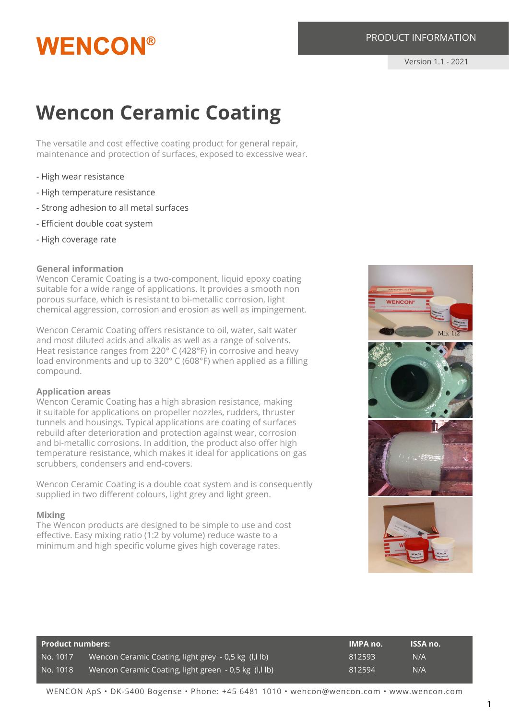# **WENCON®**

# PRODUCT INFORMATION

Version 1.1 - 2021

# **Wencon Ceramic Coating**

The versatile and cost effective coating product for general repair, maintenance and protection of surfaces, exposed to excessive wear.

- High wear resistance
- High temperature resistance
- Strong adhesion to all metal surfaces
- Efficient double coat system
- High coverage rate

#### **General information**

Wencon Ceramic Coating is a two-component, liquid epoxy coating suitable for a wide range of applications. It provides a smooth non porous surface, which is resistant to bi-metallic corrosion, light chemical aggression, corrosion and erosion as well as impingement.

Wencon Ceramic Coating offers resistance to oil, water, salt water and most diluted acids and alkalis as well as a range of solvents. Heat resistance ranges from 220° C (428°F) in corrosive and heavy load environments and up to 320° C (608°F) when applied as a filling compound.

#### **Application areas**

Wencon Ceramic Coating has a high abrasion resistance, making it suitable for applications on propeller nozzles, rudders, thruster tunnels and housings. Typical applications are coating of surfaces rebuild after deterioration and protection against wear, corrosion and bi-metallic corrosions. In addition, the product also offer high temperature resistance, which makes it ideal for applications on gas scrubbers, condensers and end-covers.

Wencon Ceramic Coating is a double coat system and is consequently supplied in two different colours, light grey and light green.

#### **Mixing**

The Wencon products are designed to be simple to use and cost effective. Easy mixing ratio (1:2 by volume) reduce waste to a minimum and high specific volume gives high coverage rates.



| Product numbers: |                                                           | <b>IMPA no.</b> | <b>ISSA no.</b> |
|------------------|-----------------------------------------------------------|-----------------|-----------------|
| No. 1017         | Wencon Ceramic Coating, light grey - 0,5 kg (I,I lb)      | 812593          | N/A             |
| No. 1018         | Wencon Ceramic Coating, light green  - 0,5 kg  (l,l lb) . | 812594          | N/A             |

WENCON ApS • DK-5400 Bogense • Phone: +45 6481 1010 • wencon@wencon.com • www.wencon.com